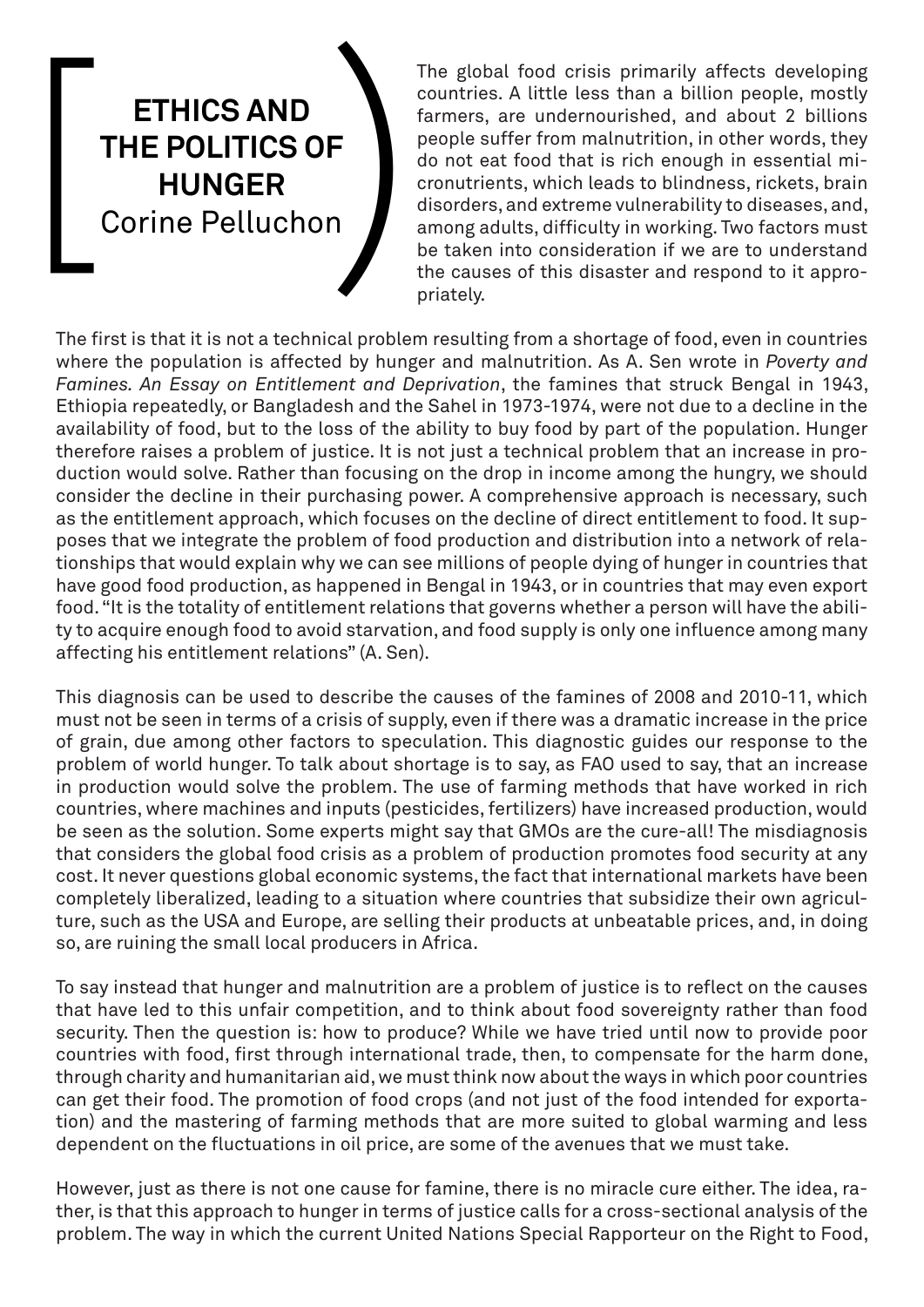## **ETHICS AND THE POLITICS OF ETHICS AND<br>THE POLITICS OF<br>HUNGER**<br>Corine Pelluchon

The global food crisis primarily affects developing countries. A little less than a billion people, mostly farmers, are undernourished, and about 2 billions people suffer from malnutrition, in other words, they do not eat food that is rich enough in essential micronutrients, which leads to blindness, rickets, brain disorders, and extreme vulnerability to diseases, and, among adults, difficulty in working. Two factors must be taken into consideration if we are to understand the causes of this disaster and respond to it appropriately.

The first is that it is not a technical problem resulting from a shortage of food, even in countries where the population is affected by hunger and malnutrition. As A. Sen wrote in *Poverty and Famines. An Essay on Entitlement and Deprivation*, the famines that struck Bengal in 1943, Ethiopia repeatedly, or Bangladesh and the Sahel in 1973-1974, were not due to a decline in the availability of food, but to the loss of the ability to buy food by part of the population. Hunger therefore raises a problem of justice. It is not just a technical problem that an increase in production would solve. Rather than focusing on the drop in income among the hungry, we should consider the decline in their purchasing power. A comprehensive approach is necessary, such as the entitlement approach, which focuses on the decline of direct entitlement to food. It supposes that we integrate the problem of food production and distribution into a network of relationships that would explain why we can see millions of people dying of hunger in countries that have good food production, as happened in Bengal in 1943, or in countries that may even export food. "It is the totality of entitlement relations that governs whether a person will have the ability to acquire enough food to avoid starvation, and food supply is only one influence among many affecting his entitlement relations" (A. Sen).

This diagnosis can be used to describe the causes of the famines of 2008 and 2010-11, which must not be seen in terms of a crisis of supply, even if there was a dramatic increase in the price of grain, due among other factors to speculation. This diagnostic guides our response to the problem of world hunger. To talk about shortage is to say, as FAO used to say, that an increase in production would solve the problem. The use of farming methods that have worked in rich countries, where machines and inputs (pesticides, fertilizers) have increased production, would be seen as the solution. Some experts might say that GMOs are the cure-all! The misdiagnosis that considers the global food crisis as a problem of production promotes food security at any cost. It never questions global economic systems, the fact that international markets have been completely liberalized, leading to a situation where countries that subsidize their own agriculture, such as the USA and Europe, are selling their products at unbeatable prices, and, in doing so, are ruining the small local producers in Africa.

To say instead that hunger and malnutrition are a problem of justice is to reflect on the causes that have led to this unfair competition, and to think about food sovereignty rather than food security. Then the question is: how to produce? While we have tried until now to provide poor countries with food, first through international trade, then, to compensate for the harm done, through charity and humanitarian aid, we must think now about the ways in which poor countries can get their food. The promotion of food crops (and not just of the food intended for exportation) and the mastering of farming methods that are more suited to global warming and less dependent on the fluctuations in oil price, are some of the avenues that we must take.

However, just as there is not one cause for famine, there is no miracle cure either. The idea, rather, is that this approach to hunger in terms of justice calls for a cross-sectional analysis of the problem. The way in which the current United Nations Special Rapporteur on the Right to Food,